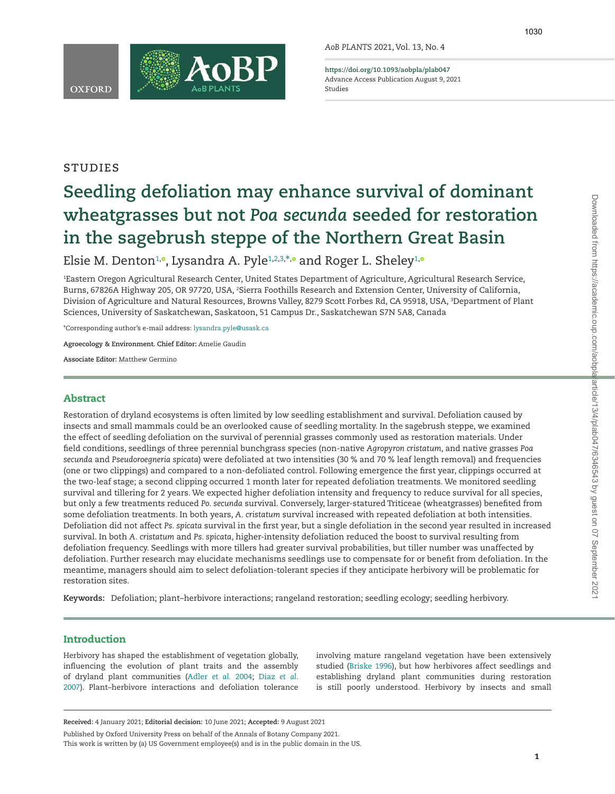**OXFORD** 



**<https://doi.org/10.1093/aobpla/plab047>** Advance Access Publication August 9, 2021 Studies

# **STUDIES**

# **Seedling defoliation may enhance survival of dominant wheatgrasses but not** *Poa secunda* **seeded for restoration in the sagebrush steppe of the Northern Great Basin**

Elsie M. Denton<del>10,</del> Lysandra A. Pyle<sup>[1,](#page-0-0)2[,](https://orcid.org/0000-0002-1248-6293)[3,](#page-0-2)[\\*](#page-0-3),</sup>® and Roger L. Sheley<sup>[1](#page-0-0),</sup>

<span id="page-0-2"></span><span id="page-0-1"></span><span id="page-0-0"></span>1 Eastern Oregon Agricultural Research Center, United States Department of Agriculture, Agricultural Research Service, Burns, 67826A Highway 205, OR 97720, USA, <sup>2</sup>Sierra Foothills Research and Extension Center, University of California, Division of Agriculture and Natural Resources, Browns Valley, 8279 Scott Forbes Rd, CA 95918, USA, 3 Department of Plant Sciences, University of Saskatchewan, Saskatoon, 51 Campus Dr., Saskatchewan S7N 5A8, Canada

<span id="page-0-3"></span>\*Corresponding author's e-mail address: [lysandra.pyle@usask.ca](mailto:lysandra.pyle@usask.ca?subject=)

**Agroecology & Environment. Chief Editor:** Amelie Gaudin

**Associate Editor:** Matthew Germino

#### Abstract

Restoration of dryland ecosystems is often limited by low seedling establishment and survival. Defoliation caused by insects and small mammals could be an overlooked cause of seedling mortality. In the sagebrush steppe, we examined the effect of seedling defoliation on the survival of perennial grasses commonly used as restoration materials. Under field conditions, seedlings of three perennial bunchgrass species (non-native *Agropyron cristatum*, and native grasses *Poa secunda* and *Pseudoroegneria spicata*) were defoliated at two intensities (30 % and 70 % leaf length removal) and frequencies (one or two clippings) and compared to a non-defoliated control. Following emergence the first year, clippings occurred at the two-leaf stage; a second clipping occurred 1 month later for repeated defoliation treatments. We monitored seedling survival and tillering for 2 years. We expected higher defoliation intensity and frequency to reduce survival for all species, but only a few treatments reduced *Po. secunda* survival. Conversely, larger-statured Triticeae (wheatgrasses) benefited from some defoliation treatments. In both years, *A. cristatum* survival increased with repeated defoliation at both intensities. Defoliation did not affect *Ps. spicata* survival in the first year, but a single defoliation in the second year resulted in increased survival. In both *A. cristatum* and *Ps. spicata*, higher-intensity defoliation reduced the boost to survival resulting from defoliation frequency. Seedlings with more tillers had greater survival probabilities, but tiller number was unaffected by defoliation. Further research may elucidate mechanisms seedlings use to compensate for or benefit from defoliation. In the meantime, managers should aim to select defoliation-tolerant species if they anticipate herbivory will be problematic for restoration sites.

**Keywords:** Defoliation; plant–herbivore interactions; rangeland restoration; seedling ecology; seedling herbivory.

# Introduction

Herbivory has shaped the establishment of vegetation globally, influencing the evolution of plant traits and the assembly of dryland plant communities ([Adler](#page-9-0) *et al.* 2004; [Diaz](#page-9-1) *et al*. [2007\)](#page-9-1). Plant–herbivore interactions and defoliation tolerance involving mature rangeland vegetation have been extensively studied [\(Briske 1996](#page-9-2)), but how herbivores affect seedlings and establishing dryland plant communities during restoration is still poorly understood. Herbivory by insects and small

Published by Oxford University Press on behalf of the Annals of Botany Company 2021.

This work is written by (a) US Government employee(s) and is in the public domain in the US.

**Received:** 4 January 2021; **Editorial decision:** 10 June 2021; **Accepted:** 9 August 2021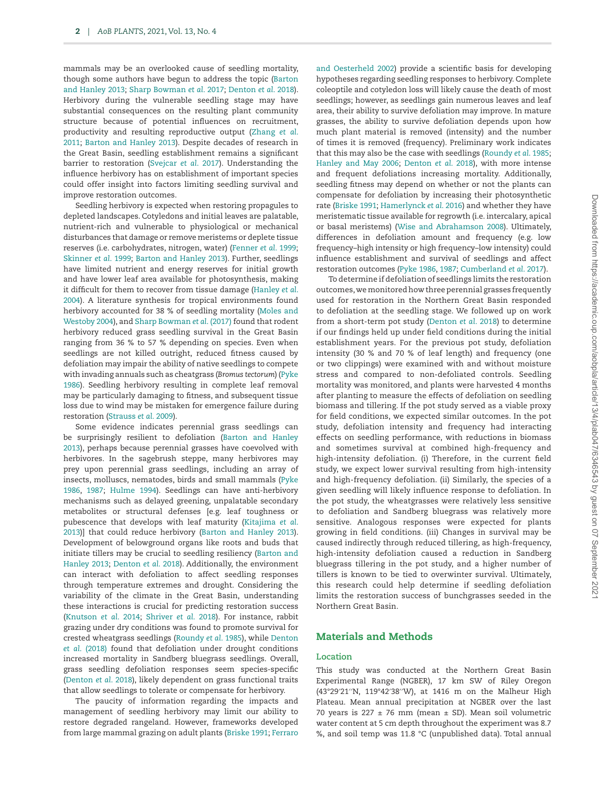mammals may be an overlooked cause of seedling mortality, though some authors have begun to address the topic ([Barton](#page-9-3) [and Hanley 2013](#page-9-3); [Sharp Bowman](#page-10-0) *et al*. 2017; [Denton](#page-9-4) *et al*. 2018). Herbivory during the vulnerable seedling stage may have substantial consequences on the resulting plant community structure because of potential influences on recruitment, productivity and resulting reproductive output ([Zhang](#page-10-1) *et al*. [2011;](#page-10-1) [Barton and Hanley 2013\)](#page-9-3). Despite decades of research in the Great Basin, seedling establishment remains a significant barrier to restoration ([Svejcar](#page-10-2) *et al*. 2017). Understanding the influence herbivory has on establishment of important species could offer insight into factors limiting seedling survival and improve restoration outcomes.

Seedling herbivory is expected when restoring propagules to depleted landscapes. Cotyledons and initial leaves are palatable, nutrient-rich and vulnerable to physiological or mechanical disturbances that damage or remove meristems or deplete tissue reserves (i.e. carbohydrates, nitrogen, water) [\(Fenner](#page-9-5) *et al*. 1999; [Skinner](#page-10-3) *et al*. 1999; [Barton and Hanley 2013](#page-9-3)). Further, seedlings have limited nutrient and energy reserves for initial growth and have lower leaf area available for photosynthesis, making it difficult for them to recover from tissue damage ([Hanley](#page-9-6) *et al*. [2004\)](#page-9-6). A literature synthesis for tropical environments found herbivory accounted for 38 % of seedling mortality ([Moles and](#page-9-7) [Westoby 2004\)](#page-9-7), and [Sharp Bowman](#page-10-0) *et al*. (2017) found that rodent herbivory reduced grass seedling survival in the Great Basin ranging from 36 % to 57 % depending on species. Even when seedlings are not killed outright, reduced fitness caused by defoliation may impair the ability of native seedlings to compete with invading annuals such as cheatgrass (*Bromus tectorum*) ([Pyke](#page-9-8) [1986\)](#page-9-8). Seedling herbivory resulting in complete leaf removal may be particularly damaging to fitness, and subsequent tissue loss due to wind may be mistaken for emergence failure during restoration [\(Strauss](#page-10-4) *et al*. 2009).

Some evidence indicates perennial grass seedlings can be surprisingly resilient to defoliation [\(Barton and Hanley](#page-9-3) [2013\)](#page-9-3), perhaps because perennial grasses have coevolved with herbivores. In the sagebrush steppe, many herbivores may prey upon perennial grass seedlings, including an array of insects, molluscs, nematodes, birds and small mammals ([Pyke](#page-9-8) [1986,](#page-9-8) [1987;](#page-9-9) [Hulme 1994\)](#page-9-10). Seedlings can have anti-herbivory mechanisms such as delayed greening, unpalatable secondary metabolites or structural defenses [e.g. leaf toughness or pubescence that develops with leaf maturity [\(Kitajima](#page-9-11) *et al*. [2013\)](#page-9-11)] that could reduce herbivory ([Barton and Hanley 2013\)](#page-9-3). Development of belowground organs like roots and buds that initiate tillers may be crucial to seedling resiliency ([Barton and](#page-9-3) [Hanley 2013](#page-9-3); [Denton](#page-9-4) *et al*. 2018). Additionally, the environment can interact with defoliation to affect seedling responses through temperature extremes and drought. Considering the variability of the climate in the Great Basin, understanding these interactions is crucial for predicting restoration success [\(Knutson](#page-9-12) *et al*. 2014; [Shriver](#page-10-5) *et al*. 2018). For instance, rabbit grazing under dry conditions was found to promote survival for crested wheatgrass seedlings [\(Roundy](#page-9-13) *et al*. 1985), while [Denton](#page-9-4) *et al*[. \(2018\)](#page-9-4) found that defoliation under drought conditions increased mortality in Sandberg bluegrass seedlings. Overall, grass seedling defoliation responses seem species-specific [\(Denton](#page-9-4) *et al*. 2018), likely dependent on grass functional traits that allow seedlings to tolerate or compensate for herbivory.

The paucity of information regarding the impacts and management of seedling herbivory may limit our ability to restore degraded rangeland. However, frameworks developed from large mammal grazing on adult plants [\(Briske 1991](#page-9-14); [Ferraro](#page-9-15)

[and Oesterheld 2002\)](#page-9-15) provide a scientific basis for developing hypotheses regarding seedling responses to herbivory. Complete coleoptile and cotyledon loss will likely cause the death of most seedlings; however, as seedlings gain numerous leaves and leaf area, their ability to survive defoliation may improve. In mature grasses, the ability to survive defoliation depends upon how much plant material is removed (intensity) and the number of times it is removed (frequency). Preliminary work indicates that this may also be the case with seedlings ([Roundy](#page-9-13) *et al*. 1985; [Hanley and May 2006](#page-9-16); [Denton](#page-9-4) *et al*. 2018), with more intense and frequent defoliations increasing mortality. Additionally, seedling fitness may depend on whether or not the plants can compensate for defoliation by increasing their photosynthetic rate ([Briske 1991](#page-9-14); [Hamerlynck](#page-9-17) *et al*. 2016) and whether they have meristematic tissue available for regrowth (i.e. intercalary, apical or basal meristems) ([Wise and Abrahamson 2008\)](#page-10-6). Ultimately, differences in defoliation amount and frequency (e.g. low frequency–high intensity or high frequency–low intensity) could influence establishment and survival of seedlings and affect restoration outcomes [\(Pyke 1986](#page-9-8), [1987;](#page-9-9) [Cumberland](#page-9-18) *et al*. 2017).

To determine if defoliation of seedlings limits the restoration outcomes, we monitored how three perennial grasses frequently used for restoration in the Northern Great Basin responded to defoliation at the seedling stage. We followed up on work from a short-term pot study ([Denton](#page-9-4) *et al*. 2018) to determine if our findings held up under field conditions during the initial establishment years. For the previous pot study, defoliation intensity (30 % and 70 % of leaf length) and frequency (one or two clippings) were examined with and without moisture stress and compared to non-defoliated controls. Seedling mortality was monitored, and plants were harvested 4 months after planting to measure the effects of defoliation on seedling biomass and tillering. If the pot study served as a viable proxy for field conditions, we expected similar outcomes. In the pot study, defoliation intensity and frequency had interacting effects on seedling performance, with reductions in biomass and sometimes survival at combined high-frequency and high-intensity defoliation. (i) Therefore, in the current field study, we expect lower survival resulting from high-intensity and high-frequency defoliation. (ii) Similarly, the species of a given seedling will likely influence response to defoliation. In the pot study, the wheatgrasses were relatively less sensitive to defoliation and Sandberg bluegrass was relatively more sensitive. Analogous responses were expected for plants growing in field conditions. (iii) Changes in survival may be caused indirectly through reduced tillering, as high-frequency, high-intensity defoliation caused a reduction in Sandberg bluegrass tillering in the pot study, and a higher number of tillers is known to be tied to overwinter survival. Ultimately, this research could help determine if seedling defoliation limits the restoration success of bunchgrasses seeded in the Northern Great Basin.

# Materials and Methods

#### **Location**

This study was conducted at the Northern Great Basin Experimental Range (NGBER), 17 km SW of Riley Oregon (43°29′21′′N, 119°42′38′′W), at 1416 m on the Malheur High Plateau. Mean annual precipitation at NGBER over the last 70 years is  $227 \pm 76$  mm (mean  $\pm$  SD). Mean soil volumetric water content at 5 cm depth throughout the experiment was 8.7 %, and soil temp was 11.8 °C (unpublished data). Total annual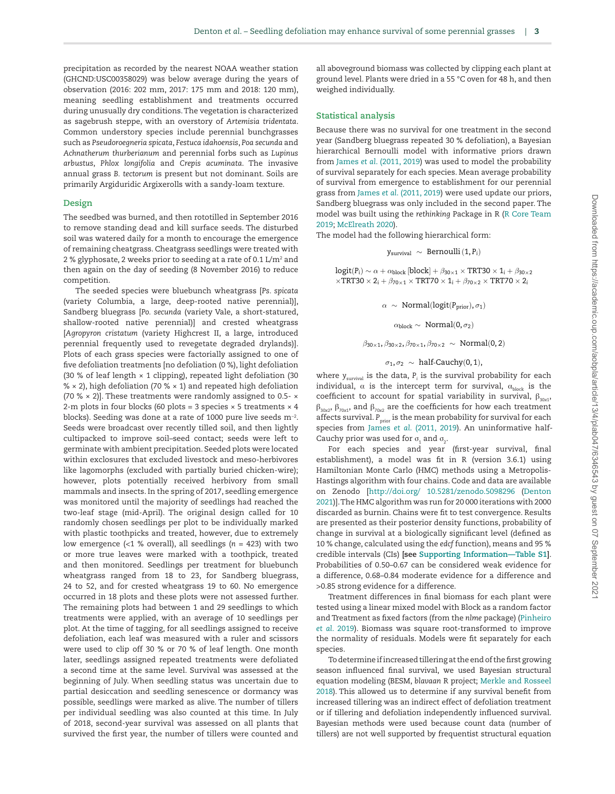precipitation as recorded by the nearest NOAA weather station (GHCND:USC00358029) was below average during the years of observation (2016: 202 mm, 2017: 175 mm and 2018: 120 mm), meaning seedling establishment and treatments occurred during unusually dry conditions. The vegetation is characterized as sagebrush steppe, with an overstory of *Artemisia tridentata*. Common understory species include perennial bunchgrasses such as *Pseudoroegneria spicata*, *Festuca idahoensis*, *Poa secunda* and *Achnatherum thurberianum* and perennial forbs such as *Lupinus arbustus*, *Phlox longifolia* and *Crepis acuminata*. The invasive annual grass *B. tectorum* is present but not dominant. Soils are primarily Argiduridic Argixerolls with a sandy-loam texture.

#### **Design**

The seedbed was burned, and then rototilled in September 2016 to remove standing dead and kill surface seeds. The disturbed soil was watered daily for a month to encourage the emergence of remaining cheatgrass. Cheatgrass seedlings were treated with 2 % glyphosate, 2 weeks prior to seeding at a rate of 0.1 L/m $^{\rm 2}$  and then again on the day of seeding (8 November 2016) to reduce competition.

The seeded species were bluebunch wheatgrass [*Ps. spicata* (variety Columbia, a large, deep-rooted native perennial)], Sandberg bluegrass [*Po. secunda* (variety Vale, a short-statured, shallow-rooted native perennial)] and crested wheatgrass [*Agropyron cristatum* (variety Highcrest II, a large, introduced perennial frequently used to revegetate degraded drylands)]. Plots of each grass species were factorially assigned to one of five defoliation treatments [no defoliation (0 %), light defoliation (30 % of leaf length × 1 clipping), repeated light defoliation (30  $% \times 2$ , high defoliation (70 %  $\times$  1) and repeated high defoliation (70 %  $\times$  2)]. These treatments were randomly assigned to 0.5-  $\times$ 2-m plots in four blocks (60 plots = 3 species  $\times$  5 treatments  $\times$  4 blocks). Seeding was done at a rate of 1000 pure live seeds m−2. Seeds were broadcast over recently tilled soil, and then lightly cultipacked to improve soil–seed contact; seeds were left to germinate with ambient precipitation. Seeded plots were located within exclosures that excluded livestock and meso-herbivores like lagomorphs (excluded with partially buried chicken-wire); however, plots potentially received herbivory from small mammals and insects. In the spring of 2017, seedling emergence was monitored until the majority of seedlings had reached the two-leaf stage (mid-April). The original design called for 10 randomly chosen seedlings per plot to be individually marked with plastic toothpicks and treated, however, due to extremely low emergence (<1 % overall), all seedlings (*n* = 423) with two or more true leaves were marked with a toothpick, treated and then monitored. Seedlings per treatment for bluebunch wheatgrass ranged from 18 to 23, for Sandberg bluegrass, 24 to 52, and for crested wheatgrass 19 to 60. No emergence occurred in 18 plots and these plots were not assessed further. The remaining plots had between 1 and 29 seedlings to which treatments were applied, with an average of 10 seedlings per plot. At the time of tagging, for all seedlings assigned to receive defoliation, each leaf was measured with a ruler and scissors were used to clip off 30 % or 70 % of leaf length. One month later, seedlings assigned repeated treatments were defoliated a second time at the same level. Survival was assessed at the beginning of July. When seedling status was uncertain due to partial desiccation and seedling senescence or dormancy was possible, seedlings were marked as alive. The number of tillers per individual seedling was also counted at this time. In July of 2018, second-year survival was assessed on all plants that survived the first year, the number of tillers were counted and all aboveground biomass was collected by clipping each plant at ground level. Plants were dried in a 55 °C oven for 48 h, and then weighed individually.

#### **Statistical analysis**

Because there was no survival for one treatment in the second year (Sandberg bluegrass repeated 30 % defoliation), a Bayesian hierarchical Bernoulli model with informative priors drawn from James *et al*[. \(2011,](#page-9-19) [2019](#page-9-20)) was used to model the probability of survival separately for each species. Mean average probability of survival from emergence to establishment for our perennial grass from James *et al*[. \(2011,](#page-9-19) [2019\)](#page-9-20) were used update our priors, Sandberg bluegrass was only included in the second paper. The model was built using the *rethinking* Package in R ([R Core Team](#page-9-21) [2019;](#page-9-21) [McElreath 2020\)](#page-9-22).

The model had the following hierarchical form:

$$
y_{\text{survival}}~\sim~\text{Bernoulli}\left(1,P_i\right)
$$

 $logit(P_i) \sim \alpha + \alpha_{block}$  [block] +  $\beta_{30\times1} \times TRT30 \times 1_i + \beta_{30\times2}$  $\times$ TRT30  $\times$  2<sub>*i*</sub> +  $\beta$ <sub>70 $\times$ 1</sub>  $\times$  TRT70  $\times$  1<sub>*i*</sub> +  $\beta$ <sub>70 $\times$ 2</sub>  $\times$  TRT70  $\times$  2*<sub>i</sub>* 

 $\alpha \sim \text{Normal}(\text{logit}(P_{\text{prior}}), \sigma_1)$ 

 $\alpha_{\rm block} \sim \text{Normal}(0, \sigma_2)$ 

 $\beta_{30\times1}, \beta_{30\times2}, \beta_{70\times1}, \beta_{70\times2} \sim \text{Normal}(0, 2)$ 

#### $\sigma_1, \sigma_2 \sim \text{half-Cauchy}(0, 1),$

where  $y_{\text{survival}}$  is the data,  $P_i$  is the survival probability for each individual,  $\alpha$  is the intercept term for survival,  $\alpha_{\text{block}}$  is the coefficient to account for spatial variability in survival,  $\beta_{30x1}$ ,  $β<sub>30x2</sub>, β<sub>70x1</sub>$ , and  $β<sub>70x2</sub>$  are the coefficients for how each treatment affects survival. *P*<sub>prior</sub> is the mean probability for survival for each species from James *et al*[. \(2011,](#page-9-19) [2019\)](#page-9-20). An uninformative half-Cauchy prior was used for  $\sigma_1$  and  $\sigma_2$ .

For each species and year (first-year survival, final establishment), a model was fit in R (version 3.6.1) using Hamiltonian Monte Carlo (HMC) methods using a Metropolis-Hastings algorithm with four chains. Code and data are available on Zenodo [<http://doi.org/ 10.5281/zenodo.5098296> ([Denton](#page-9-23) [2021\)](#page-9-23)]. The HMC algorithm was run for 20 000 iterations with 2000 discarded as burnin. Chains were fit to test convergence. Results are presented as their posterior density functions, probability of change in survival at a biologically significant level (defined as 10 % change, calculated using the *edcf* function), means and 95 % credible intervals (CIs) **[see [Supporting Information—Table S1](http://academic.oup.com/aobpla/article-lookup/doi/10.1093/aobpla/plab047#supplementary-data)]**. Probabilities of 0.50–0.67 can be considered weak evidence for a difference, 0.68–0.84 moderate evidence for a difference and >0.85 strong evidence for a difference.

Treatment differences in final biomass for each plant were tested using a linear mixed model with Block as a random factor and Treatment as fixed factors (from the *nlme* package) [\(Pinheiro](#page-9-24) *et al*[. 2019\)](#page-9-24). Biomass was square root-transformed to improve the normality of residuals. Models were fit separately for each species.

To determine if increased tillering at the end of the first growing season influenced final survival, we used Bayesian structural equation modeling (BESM, *blavaan* R project; [Merkle and Rosseel](#page-9-25) [2018\)](#page-9-25). This allowed us to determine if any survival benefit from increased tillering was an indirect effect of defoliation treatment or if tillering and defoliation independently influenced survival. Bayesian methods were used because count data (number of tillers) are not well supported by frequentist structural equation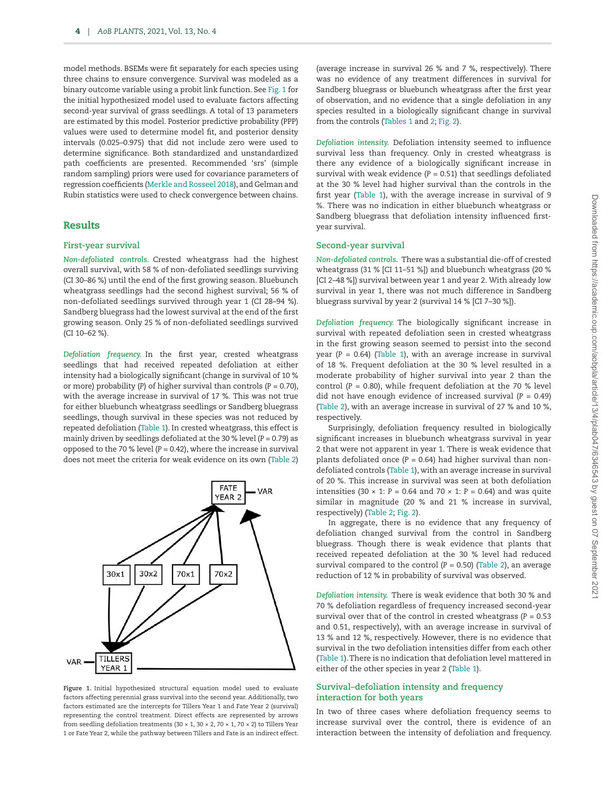model methods. BSEMs were fit separately for each species using three chains to ensure convergence. Survival was modeled as a binary outcome variable using a probit link function. See [Fig. 1](#page-3-0) for the initial hypothesized model used to evaluate factors affecting second-year survival of grass seedlings. A total of 13 parameters are estimated by this model. Posterior predictive probability (PPP) values were used to determine model fit, and posterior density intervals (0.025–0.975) that did not include zero were used to determine significance. Both standardized and unstandardized path coefficients are presented. Recommended 'srs' (simple random sampling) priors were used for covariance parameters of regression coefficients ([Merkle and Rosseel 2018\)](#page-9-25), and Gelman and Rubin statistics were used to check convergence between chains.

#### Results

#### **First-year survival**

*Non-defoliated controls.* Crested wheatgrass had the highest overall survival, with 58 % of non-defoliated seedlings surviving (CI 30–86 %) until the end of the first growing season. Bluebunch wheatgrass seedlings had the second highest survival; 56 % of non-defoliated seedlings survived through year 1 (CI 28–94 %). Sandberg bluegrass had the lowest survival at the end of the first growing season. Only 25 % of non-defoliated seedlings survived (CI 10–62 %).

*Defoliation frequency.* In the first year, crested wheatgrass seedlings that had received repeated defoliation at either intensity had a biologically significant (change in survival of 10 % or more) probability (*P*) of higher survival than controls (*P* = 0.70), with the average increase in survival of 17 %. This was not true for either bluebunch wheatgrass seedlings or Sandberg bluegrass seedlings, though survival in these species was not reduced by repeated defoliation [\(Table 1\)](#page-4-0). In crested wheatgrass, this effect is mainly driven by seedlings defoliated at the 30 % level (*P* = 0.79) as opposed to the 70 % level  $(P = 0.42)$ , where the increase in survival does not meet the criteria for weak evidence on its own [\(Table 2\)](#page-4-1)



<span id="page-3-0"></span>**Figure 1.** Initial hypothesized structural equation model used to evaluate factors affecting perennial grass survival into the second year. Additionally, two factors estimated are the intercepts for Tillers Year 1 and Fate Year 2 (survival) representing the control treatment. Direct effects are represented by arrows from seedling defoliation treatments (30  $\times$  1, 30  $\times$  2, 70  $\times$  1, 70  $\times$  2) to Tillers Year 1 or Fate Year 2, while the pathway between Tillers and Fate is an indirect effect.

(average increase in survival 26 % and 7 %, respectively). There was no evidence of any treatment differences in survival for Sandberg bluegrass or bluebunch wheatgrass after the first year of observation, and no evidence that a single defoliation in any species resulted in a biologically significant change in survival from the controls [\(Tables 1](#page-4-0) and [2;](#page-4-1) [Fig. 2](#page-5-0)).

*Defoliation intensity.* Defoliation intensity seemed to influence survival less than frequency. Only in crested wheatgrass is there any evidence of a biologically significant increase in survival with weak evidence  $(P = 0.51)$  that seedlings defoliated at the 30 % level had higher survival than the controls in the first year ([Table 1\)](#page-4-0), with the average increase in survival of 9 %. There was no indication in either bluebunch wheatgrass or Sandberg bluegrass that defoliation intensity influenced firstyear survival.

#### **Second-year survival**

*Non-defoliated controls.* There was a substantial die-off of crested wheatgrass (31 % [CI 11–51 %]) and bluebunch wheatgrass (20 % [CI 2–48 %]) survival between year 1 and year 2. With already low survival in year 1, there was not much difference in Sandberg bluegrass survival by year 2 (survival 14 % [CI 7–30 %]).

*Defoliation frequency.* The biologically significant increase in survival with repeated defoliation seen in crested wheatgrass in the first growing season seemed to persist into the second year ( $P = 0.64$ ) [\(Table 1](#page-4-0)), with an average increase in survival of 18 %. Frequent defoliation at the 30 % level resulted in a moderate probability of higher survival into year 2 than the control ( $P = 0.80$ ), while frequent defoliation at the 70 % level did not have enough evidence of increased survival  $(P = 0.49)$ [\(Table 2](#page-4-1)), with an average increase in survival of 27 % and 10 %, respectively.

Surprisingly, defoliation frequency resulted in biologically significant increases in bluebunch wheatgrass survival in year 2 that were not apparent in year 1. There is weak evidence that plants defoliated once  $(P = 0.64)$  had higher survival than nondefoliated controls ([Table 1](#page-4-0)), with an average increase in survival of 20 %. This increase in survival was seen at both defoliation intensities (30  $\times$  1: *P* = 0.64 and 70  $\times$  1: *P* = 0.64) and was quite similar in magnitude (20 % and 21 % increase in survival, respectively) ([Table 2;](#page-4-1) [Fig. 2](#page-5-0)).

In aggregate, there is no evidence that any frequency of defoliation changed survival from the control in Sandberg bluegrass. Though there is weak evidence that plants that received repeated defoliation at the 30 % level had reduced survival compared to the control (*P* = 0.50) ([Table 2\)](#page-4-1), an average reduction of 12 % in probability of survival was observed.

*Defoliation intensity.* There is weak evidence that both 30 % and 70 % defoliation regardless of frequency increased second-year survival over that of the control in crested wheatgrass (*P* = 0.53 and 0.51, respectively), with an average increase in survival of 13 % and 12 %, respectively. However, there is no evidence that survival in the two defoliation intensities differ from each other [\(Table 1\)](#page-4-0). There is no indication that defoliation level mattered in either of the other species in year 2 [\(Table 1\)](#page-4-0).

## **Survival–defoliation intensity and frequency interaction for both years**

In two of three cases where defoliation frequency seems to increase survival over the control, there is evidence of an interaction between the intensity of defoliation and frequency.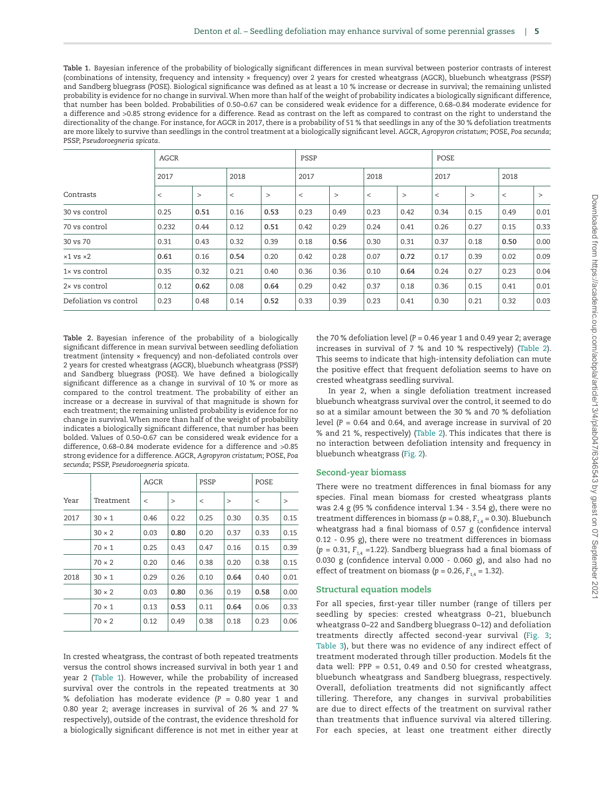<span id="page-4-0"></span>**Table 1.** Bayesian inference of the probability of biologically significant differences in mean survival between posterior contrasts of interest (combinations of intensity, frequency and intensity × frequency) over 2 years for crested wheatgrass (AGCR), bluebunch wheatgrass (PSSP) and Sandberg bluegrass (POSE). Biological significance was defined as at least a 10 % increase or decrease in survival; the remaining unlisted probability is evidence for no change in survival. When more than half of the weight of probability indicates a biologically significant difference, that number has been bolded. Probabilities of 0.50–0.67 can be considered weak evidence for a difference, 0.68–0.84 moderate evidence for a difference and >0.85 strong evidence for a difference. Read as contrast on the left as compared to contrast on the right to understand the directionality of the change. For instance, for AGCR in 2017, there is a probability of 51 % that seedlings in any of the 30 % defoliation treatments are more likely to survive than seedlings in the control treatment at a biologically significant level. AGCR, *Agropyron cristatum*; POSE, *Poa secunda*; PSSP, *Pseudoroegneria spicata*.

|                        | <b>AGCR</b> |        |         |        | PSSP  |        |         |        | POSE    |        |         |        |
|------------------------|-------------|--------|---------|--------|-------|--------|---------|--------|---------|--------|---------|--------|
|                        | 2017        |        | 2018    |        | 2017  |        | 2018    |        | 2017    |        | 2018    |        |
| Contrasts              | $\,<\,$     | $\geq$ | $\,<\,$ | $\geq$ | $\,<$ | $\geq$ | $\,<\,$ | $\geq$ | $\,<\,$ | $\geq$ | $\,<\,$ | $\geq$ |
| 30 vs control          | 0.25        | 0.51   | 0.16    | 0.53   | 0.23  | 0.49   | 0.23    | 0.42   | 0.34    | 0.15   | 0.49    | 0.01   |
| 70 vs control          | 0.232       | 0.44   | 0.12    | 0.51   | 0.42  | 0.29   | 0.24    | 0.41   | 0.26    | 0.27   | 0.15    | 0.33   |
| 30 vs 70               | 0.31        | 0.43   | 0.32    | 0.39   | 0.18  | 0.56   | 0.30    | 0.31   | 0.37    | 0.18   | 0.50    | 0.00   |
| $\times1$ vs $\times2$ | 0.61        | 0.16   | 0.54    | 0.20   | 0.42  | 0.28   | 0.07    | 0.72   | 0.17    | 0.39   | 0.02    | 0.09   |
| $1\times$ vs control   | 0.35        | 0.32   | 0.21    | 0.40   | 0.36  | 0.36   | 0.10    | 0.64   | 0.24    | 0.27   | 0.23    | 0.04   |
| 2× vs control          | 0.12        | 0.62   | 0.08    | 0.64   | 0.29  | 0.42   | 0.37    | 0.18   | 0.36    | 0.15   | 0.41    | 0.01   |
| Defoliation vs control | 0.23        | 0.48   | 0.14    | 0.52   | 0.33  | 0.39   | 0.23    | 0.41   | 0.30    | 0.21   | 0.32    | 0.03   |

<span id="page-4-1"></span>**Table 2.** Bayesian inference of the probability of a biologically significant difference in mean survival between seedling defoliation treatment (intensity × frequency) and non-defoliated controls over 2 years for crested wheatgrass (AGCR), bluebunch wheatgrass (PSSP) and Sandberg bluegrass (POSE). We have defined a biologically significant difference as a change in survival of 10 % or more as compared to the control treatment. The probability of either an increase or a decrease in survival of that magnitude is shown for each treatment; the remaining unlisted probability is evidence for no change in survival. When more than half of the weight of probability indicates a biologically significant difference, that number has been bolded. Values of 0.50–0.67 can be considered weak evidence for a difference, 0.68–0.84 moderate evidence for a difference and >0.85 strong evidence for a difference. AGCR, *Agropyron cristatum*; POSE, *Poa secunda*; PSSP, *Pseudoroegneria spicata*.

|      |               |         |        | PSSP    |        | POSE |        |
|------|---------------|---------|--------|---------|--------|------|--------|
| Year | Treatment     | $\,<\,$ | $\geq$ | $\,<\,$ | $\geq$ | <    | $\geq$ |
| 2017 | $30 \times 1$ | 0.46    | 0.22   | 0.25    | 0.30   | 0.35 | 0.15   |
|      | $30 \times 2$ | 0.03    | 0.80   | 0.20    | 0.37   | 0.33 | 0.15   |
|      | $70 \times 1$ | 0.25    | 0.43   | 0.47    | 0.16   | 0.15 | 0.39   |
|      | $70 \times 2$ | 0.20    | 0.46   | 0.38    | 0.20   | 0.38 | 0.15   |
| 2018 | $30 \times 1$ | 0.29    | 0.26   | 0.10    | 0.64   | 0.40 | 0.01   |
|      | $30 \times 2$ | 0.03    | 0.80   | 0.36    | 0.19   | 0.58 | 0.00   |
|      | $70 \times 1$ | 0.13    | 0.53   | 0.11    | 0.64   | 0.06 | 0.33   |
|      | $70 \times 2$ | 0.12    | 0.49   | 0.38    | 0.18   | 0.23 | 0.06   |

In crested wheatgrass, the contrast of both repeated treatments versus the control shows increased survival in both year 1 and year 2 [\(Table 1\)](#page-4-0). However, while the probability of increased survival over the controls in the repeated treatments at 30 % defoliation has moderate evidence (*P* = 0.80 year 1 and 0.80 year 2; average increases in survival of 26 % and 27 % respectively), outside of the contrast, the evidence threshold for a biologically significant difference is not met in either year at

the 70 % defoliation level ( $P = 0.46$  year 1 and 0.49 year 2; average increases in survival of 7 % and 10 % respectively) ([Table 2\)](#page-4-1). This seems to indicate that high-intensity defoliation can mute the positive effect that frequent defoliation seems to have on crested wheatgrass seedling survival.

In year 2, when a single defoliation treatment increased bluebunch wheatgrass survival over the control, it seemed to do so at a similar amount between the 30 % and 70 % defoliation level  $(P = 0.64$  and 0.64, and average increase in survival of 20 % and 21 %, respectively) ([Table 2](#page-4-1)). This indicates that there is no interaction between defoliation intensity and frequency in bluebunch wheatgrass [\(Fig. 2](#page-5-0)).

#### **Second-year biomass**

There were no treatment differences in final biomass for any species. Final mean biomass for crested wheatgrass plants was 2.4 g (95 % confidence interval 1.34 - 3.54 g), there were no treatment differences in biomass ( $p = 0.88$ ,  $F_{1,4} = 0.30$ ). Bluebunch wheatgrass had a final biomass of 0.57 g (confidence interval 0.12 - 0.95 g), there were no treatment differences in biomass  $(p = 0.31, F<sub>14</sub> = 1.22)$ . Sandberg bluegrass had a final biomass of 0.030 g (confidence interval 0.000 - 0.060 g), and also had no effect of treatment on biomass ( $p = 0.26$ ,  $F_{14} = 1.32$ ).

## **Structural equation models**

For all species, first-year tiller number (range of tillers per seedling by species: crested wheatgrass 0–21, bluebunch wheatgrass 0–22 and Sandberg bluegrass 0–12) and defoliation treatments directly affected second-year survival [\(Fig. 3](#page-6-0); [Table 3\)](#page-7-0), but there was no evidence of any indirect effect of treatment moderated through tiller production. Models fit the data well: PPP =  $0.51$ , 0.49 and 0.50 for crested wheatgrass, bluebunch wheatgrass and Sandberg bluegrass, respectively. Overall, defoliation treatments did not significantly affect tillering. Therefore, any changes in survival probabilities are due to direct effects of the treatment on survival rather than treatments that influence survival via altered tillering. For each species, at least one treatment either directly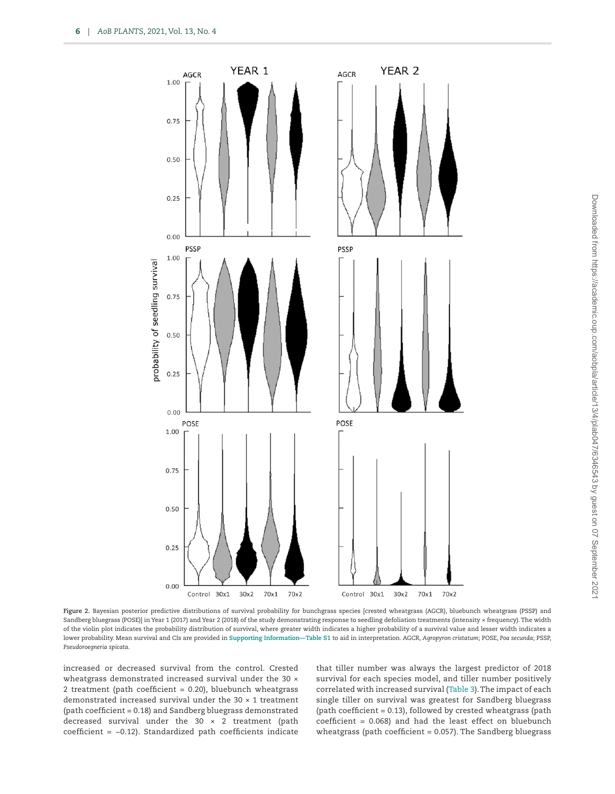

**Figure 2.** Bayesian posterior predictive distributions of survival probability for bunchgrass species [crested wheatgrass (AGCR), bluebunch wheatgrass (PSSP) and Sandberg bluegrass (POSE)] in Year 1 (2017) and Year 2 (2018) of the study demonstrating response to seedling defoliation treatments (intensity × frequency). The width of the violin plot indicates the probability distribution of survival, where greater width indicates a higher probability of a survival value and lesser width indicates a lower probability. Mean survival and CIs are provided in **[Supporting Information—Table S1](http://academic.oup.com/aobpla/article-lookup/doi/10.1093/aobpla/plab047#supplementary-data)** to aid in interpretation. AGCR, *Agropyron cristatum*; POSE, *Poa secunda*; PSSP, *Pseudoroegneria spicata*.

increased or decreased survival from the control. Crested wheatgrass demonstrated increased survival under the 30  $\times$ 2 treatment (path coefficient = 0.20), bluebunch wheatgrass demonstrated increased survival under the 30 × 1 treatment (path coefficient = 0.18) and Sandberg bluegrass demonstrated decreased survival under the 30  $\times$  2 treatment (path coefficient = −0.12). Standardized path coefficients indicate <span id="page-5-0"></span>that tiller number was always the largest predictor of 2018 survival for each species model, and tiller number positively correlated with increased survival ([Table 3\)](#page-7-0). The impact of each single tiller on survival was greatest for Sandberg bluegrass (path coefficient = 0.13), followed by crested wheatgrass (path coefficient = 0.068) and had the least effect on bluebunch wheatgrass (path coefficient = 0.057). The Sandberg bluegrass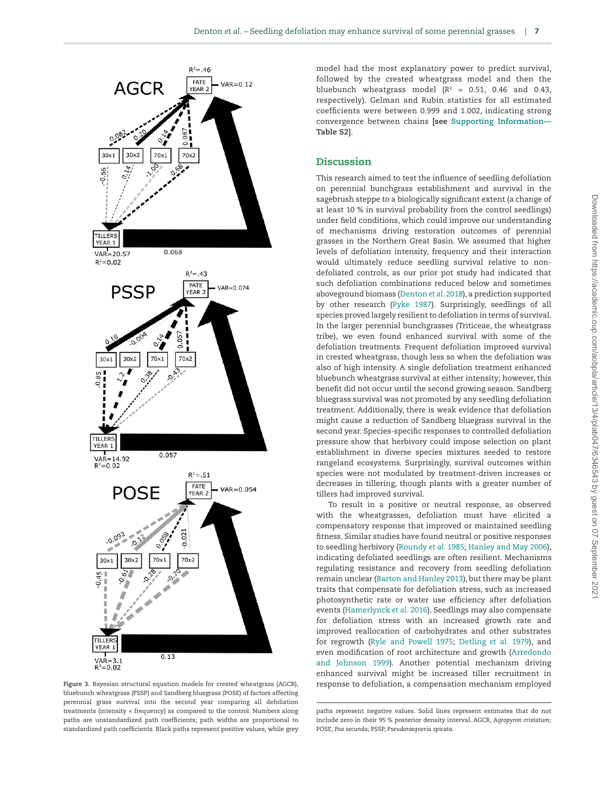

<span id="page-6-0"></span>bluebunch wheatgrass (PSSP) and Sandberg bluegrass (POSE) of factors affecting perennial grass survival into the second year comparing all defoliation treatments (intensity × frequency) as compared to the control. Numbers along paths are unstandardized path coefficients; path widths are proportional to standardized path coefficients. Black paths represent positive values, while grey

model had the most explanatory power to predict survival, followed by the crested wheatgrass model and then the bluebunch wheatgrass model  $(R^2 = 0.51, 0.46$  and 0.43, respectively). Gelman and Rubin statistics for all estimated coefficients were between 0.999 and 1.002, indicating strong convergence between chains **[see [Supporting Information—](http://academic.oup.com/aobpla/article-lookup/doi/10.1093/aobpla/plab047#supplementary-data) Table S2]**.

## Discussion

This research aimed to test the influence of seedling defoliation on perennial bunchgrass establishment and survival in the sagebrush steppe to a biologically significant extent (a change of at least 10 % in survival probability from the control seedlings) under field conditions, which could improve our understanding of mechanisms driving restoration outcomes of perennial grasses in the Northern Great Basin. We assumed that higher levels of defoliation intensity, frequency and their interaction would ultimately reduce seedling survival relative to nondefoliated controls, as our prior pot study had indicated that such defoliation combinations reduced below and sometimes aboveground biomass ([Denton](#page-9-4) *et al*. 2018), a prediction supported by other research [\(Pyke 1987\)](#page-9-9). Surprisingly, seedlings of all species proved largely resilient to defoliation in terms of survival. In the larger perennial bunchgrasses (Triticeae, the wheatgrass tribe), we even found enhanced survival with some of the defoliation treatments. Frequent defoliation improved survival in crested wheatgrass, though less so when the defoliation was also of high intensity. A single defoliation treatment enhanced bluebunch wheatgrass survival at either intensity; however, this benefit did not occur until the second growing season. Sandberg bluegrass survival was not promoted by any seedling defoliation treatment. Additionally, there is weak evidence that defoliation might cause a reduction of Sandberg bluegrass survival in the second year. Species-specific responses to controlled defoliation pressure show that herbivory could impose selection on plant establishment in diverse species mixtures seeded to restore rangeland ecosystems. Surprisingly, survival outcomes within species were not modulated by treatment-driven increases or decreases in tillering, though plants with a greater number of tillers had improved survival.

To result in a positive or neutral response, as observed with the wheatgrasses, defoliation must have elicited a compensatory response that improved or maintained seedling fitness. Similar studies have found neutral or positive responses to seedling herbivory [\(Roundy](#page-9-13) *et al*. 1985; [Hanley and May 2006\)](#page-9-16), indicating defoliated seedlings are often resilient. Mechanisms regulating resistance and recovery from seedling defoliation remain unclear [\(Barton and Hanley 2013](#page-9-3)), but there may be plant traits that compensate for defoliation stress, such as increased photosynthetic rate or water use efficiency after defoliation events ([Hamerlynck](#page-9-17) *et al*. 2016). Seedlings may also compensate for defoliation stress with an increased growth rate and improved reallocation of carbohydrates and other substrates for regrowth [\(Ryle and Powell 1975](#page-9-26); [Detling](#page-9-27) *et al*. 1979), and even modification of root architecture and growth ([Arredondo](#page-9-28) [and Johnson 1999\)](#page-9-28). Another potential mechanism driving enhanced survival might be increased tiller recruitment in **Figure 3.** Bayesian structural equation models for crested wheatgrass (AGCR), response to defoliation, a compensation mechanism employed

paths represent negative values. Solid lines represent estimates that do not include zero in their 95 % posterior density interval. AGCR, *Agropyron cristatum*; POSE, *Poa secunda*; PSSP, *Pseudoroegneria spicata*.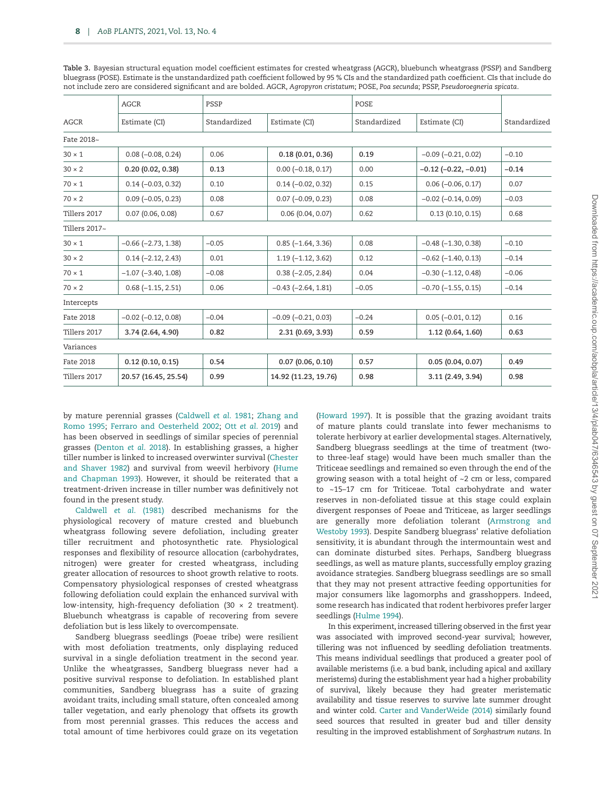<span id="page-7-0"></span>**Table 3.** Bayesian structural equation model coefficient estimates for crested wheatgrass (AGCR), bluebunch wheatgrass (PSSP) and Sandberg bluegrass (POSE). Estimate is the unstandardized path coefficient followed by 95 % CIs and the standardized path coefficient. CIs that include do not include zero are considered significant and are bolded. AGCR, *Agropyron cristatum*; POSE, *Poa secunda*; PSSP, *Pseudoroegneria spicata*.

|               | <b>AGCR</b>                 | PSSP         |                             | <b>POSE</b>  |                               |              |
|---------------|-----------------------------|--------------|-----------------------------|--------------|-------------------------------|--------------|
| <b>AGCR</b>   | Estimate (CI)               | Standardized | Estimate (CI)               | Standardized | Estimate (CI)                 | Standardized |
| Fate 2018~    |                             |              |                             |              |                               |              |
| $30 \times 1$ | $0.08 (-0.08, 0.24)$        | 0.06         | 0.18(0.01, 0.36)            | 0.19         | $-0.09$ ( $-0.21$ , 0.02)     | $-0.10$      |
| $30 \times 2$ | 0.20(0.02, 0.38)            | 0.13         | $0.00 (-0.18, 0.17)$        | 0.00         | $-0.12$ ( $-0.22$ , $-0.01$ ) | $-0.14$      |
| $70 \times 1$ | $0.14 (-0.03, 0.32)$        | 0.10         | $0.14 (-0.02, 0.32)$        | 0.15         | $0.06 (-0.06, 0.17)$          | 0.07         |
| $70 \times 2$ | $0.09$ ( $-0.05$ , $0.23$ ) | 0.08         | $0.07$ ( $-0.09$ , $0.23$ ) | 0.08         | $-0.02$ $(-0.14, 0.09)$       | $-0.03$      |
| Tillers 2017  | 0.07(0.06, 0.08)            | 0.67         | 0.06(0.04, 0.07)            | 0.62         | 0.13(0.10, 0.15)              | 0.68         |
| Tillers 2017~ |                             |              |                             |              |                               |              |
| $30 \times 1$ | $-0.66$ $(-2.73, 1.38)$     | $-0.05$      | $0.85 (-1.64, 3.36)$        | 0.08         | $-0.48$ ( $-1.30$ , 0.38)     | $-0.10$      |
| $30 \times 2$ | $0.14 (-2.12, 2.43)$        | 0.01         | $1.19(-1.12, 3.62)$         | 0.12         | $-0.62$ ( $-1.40$ , 0.13)     | $-0.14$      |
| $70 \times 1$ | $-1.07$ $(-3.40, 1.08)$     | $-0.08$      | $0.38 (-2.05, 2.84)$        | 0.04         | $-0.30$ $(-1.12, 0.48)$       | $-0.06$      |
| $70 \times 2$ | $0.68(-1.15, 2.51)$         | 0.06         | $-0.43$ $(-2.64, 1.81)$     | $-0.05$      | $-0.70$ $(-1.55, 0.15)$       | $-0.14$      |
| Intercepts    |                             |              |                             |              |                               |              |
| Fate 2018     | $-0.02$ $(-0.12, 0.08)$     | $-0.04$      | $-0.09$ $(-0.21, 0.03)$     | $-0.24$      | $0.05 (-0.01, 0.12)$          | 0.16         |
| Tillers 2017  | 3.74 (2.64, 4.90)           | 0.82         | 2.31 (0.69, 3.93)           | 0.59         | 1.12(0.64, 1.60)              | 0.63         |
| Variances     |                             |              |                             |              |                               |              |
| Fate 2018     | 0.12(0.10, 0.15)            | 0.54         | 0.07(0.06, 0.10)            | 0.57         | 0.05(0.04, 0.07)              | 0.49         |
| Tillers 2017  | 20.57 (16.45, 25.54)        | 0.99         | 14.92 (11.23, 19.76)        | 0.98         | 3.11 (2.49, 3.94)             | 0.98         |

by mature perennial grasses [\(Caldwell](#page-9-29) *et al*. 1981; [Zhang and](#page-10-7) [Romo 1995;](#page-10-7) [Ferraro and Oesterheld 2002](#page-9-15); Ott *et al*[. 2019](#page-9-30)) and has been observed in seedlings of similar species of perennial grasses [\(Denton](#page-9-4) *et al*. 2018). In establishing grasses, a higher tiller number is linked to increased overwinter survival ([Chester](#page-9-31) [and Shaver 1982\)](#page-9-31) and survival from weevil herbivory ([Hume](#page-9-32) [and Chapman 1993\)](#page-9-32). However, it should be reiterated that a treatment-driven increase in tiller number was definitively not found in the present study.

[Caldwell](#page-9-29) *et al*. (1981) described mechanisms for the physiological recovery of mature crested and bluebunch wheatgrass following severe defoliation, including greater tiller recruitment and photosynthetic rate. Physiological responses and flexibility of resource allocation (carbohydrates, nitrogen) were greater for crested wheatgrass, including greater allocation of resources to shoot growth relative to roots. Compensatory physiological responses of crested wheatgrass following defoliation could explain the enhanced survival with low-intensity, high-frequency defoliation (30 × 2 treatment). Bluebunch wheatgrass is capable of recovering from severe defoliation but is less likely to overcompensate.

Sandberg bluegrass seedlings (Poeae tribe) were resilient with most defoliation treatments, only displaying reduced survival in a single defoliation treatment in the second year. Unlike the wheatgrasses, Sandberg bluegrass never had a positive survival response to defoliation. In established plant communities, Sandberg bluegrass has a suite of grazing avoidant traits, including small stature, often concealed among taller vegetation, and early phenology that offsets its growth from most perennial grasses. This reduces the access and total amount of time herbivores could graze on its vegetation [\(Howard 1997\)](#page-9-33). It is possible that the grazing avoidant traits of mature plants could translate into fewer mechanisms to tolerate herbivory at earlier developmental stages. Alternatively, Sandberg bluegrass seedlings at the time of treatment (twoto three-leaf stage) would have been much smaller than the Triticeae seedlings and remained so even through the end of the growing season with a total height of ~2 cm or less, compared to ~15–17 cm for Triticeae. Total carbohydrate and water reserves in non-defoliated tissue at this stage could explain divergent responses of Poeae and Triticeae, as larger seedlings are generally more defoliation tolerant [\(Armstrong and](#page-9-34) [Westoby 1993\)](#page-9-34). Despite Sandberg bluegrass' relative defoliation sensitivity, it is abundant through the intermountain west and can dominate disturbed sites. Perhaps, Sandberg bluegrass seedlings, as well as mature plants, successfully employ grazing avoidance strategies. Sandberg bluegrass seedlings are so small that they may not present attractive feeding opportunities for major consumers like lagomorphs and grasshoppers. Indeed, some research has indicated that rodent herbivores prefer larger seedlings [\(Hulme 1994\)](#page-9-10).

In this experiment, increased tillering observed in the first year was associated with improved second-year survival; however, tillering was not influenced by seedling defoliation treatments. This means individual seedlings that produced a greater pool of available meristems (i.e. a bud bank, including apical and axillary meristems) during the establishment year had a higher probability of survival, likely because they had greater meristematic availability and tissue reserves to survive late summer drought and winter cold. [Carter and VanderWeide \(2014\)](#page-9-35) similarly found seed sources that resulted in greater bud and tiller density resulting in the improved establishment of *Sorghastrum nutans*. In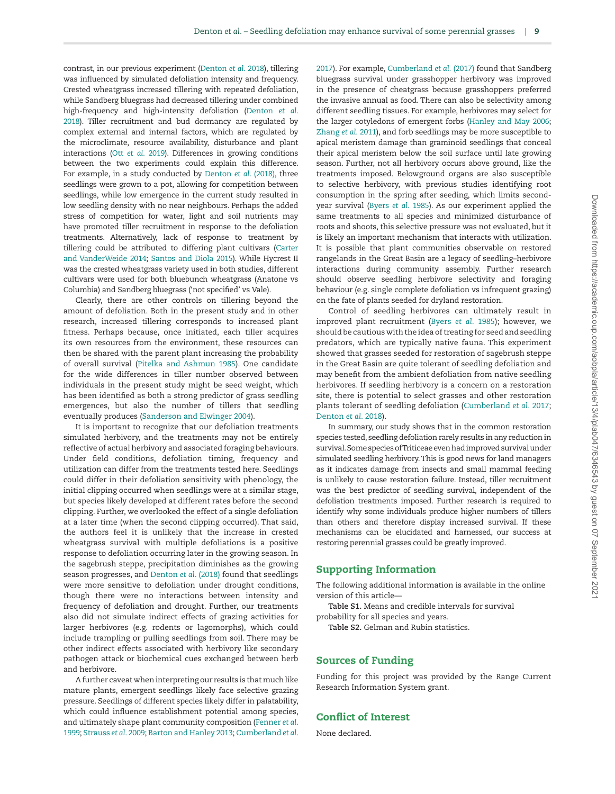contrast, in our previous experiment [\(Denton](#page-9-4) *et al*. 2018), tillering was influenced by simulated defoliation intensity and frequency. Crested wheatgrass increased tillering with repeated defoliation, while Sandberg bluegrass had decreased tillering under combined high-frequency and high-intensity defoliation ([Denton](#page-9-4) *et al*. [2018](#page-9-4)). Tiller recruitment and bud dormancy are regulated by complex external and internal factors, which are regulated by the microclimate, resource availability, disturbance and plant interactions (Ott *et al*[. 2019](#page-9-30)). Differences in growing conditions between the two experiments could explain this difference. For example, in a study conducted by [Denton](#page-9-4) *et al*. (2018), three seedlings were grown to a pot, allowing for competition between seedlings, while low emergence in the current study resulted in low seedling density with no near neighbours. Perhaps the added stress of competition for water, light and soil nutrients may have promoted tiller recruitment in response to the defoliation treatments. Alternatively, lack of response to treatment by tillering could be attributed to differing plant cultivars [\(Carter](#page-9-35) [and VanderWeide 2014;](#page-9-35) [Santos and Diola 2015\)](#page-10-8). While Hycrest II was the crested wheatgrass variety used in both studies, different cultivars were used for both bluebunch wheatgrass (Anatone vs Columbia) and Sandberg bluegrass ('not specified' vs Vale).

Clearly, there are other controls on tillering beyond the amount of defoliation. Both in the present study and in other research, increased tillering corresponds to increased plant fitness. Perhaps because, once initiated, each tiller acquires its own resources from the environment, these resources can then be shared with the parent plant increasing the probability of overall survival [\(Pitelka and Ashmun 1985\)](#page-9-36). One candidate for the wide differences in tiller number observed between individuals in the present study might be seed weight, which has been identified as both a strong predictor of grass seedling emergences, but also the number of tillers that seedling eventually produces ([Sanderson and Elwinger 2004\)](#page-10-9).

It is important to recognize that our defoliation treatments simulated herbivory, and the treatments may not be entirely reflective of actual herbivory and associated foraging behaviours. Under field conditions, defoliation timing, frequency and utilization can differ from the treatments tested here. Seedlings could differ in their defoliation sensitivity with phenology, the initial clipping occurred when seedlings were at a similar stage, but species likely developed at different rates before the second clipping. Further, we overlooked the effect of a single defoliation at a later time (when the second clipping occurred). That said, the authors feel it is unlikely that the increase in crested wheatgrass survival with multiple defoliations is a positive response to defoliation occurring later in the growing season. In the sagebrush steppe, precipitation diminishes as the growing season progresses, and [Denton](#page-9-4) *et al*. (2018) found that seedlings were more sensitive to defoliation under drought conditions, though there were no interactions between intensity and frequency of defoliation and drought. Further, our treatments also did not simulate indirect effects of grazing activities for larger herbivores (e.g. rodents or lagomorphs), which could include trampling or pulling seedlings from soil. There may be other indirect effects associated with herbivory like secondary pathogen attack or biochemical cues exchanged between herb and herbivore.

A further caveat when interpreting our results is that much like mature plants, emergent seedlings likely face selective grazing pressure. Seedlings of different species likely differ in palatability, which could influence establishment potential among species, and ultimately shape plant community composition ([Fenner](#page-9-5) *et al*. [1999;](#page-9-5) [Strauss](#page-10-4) *et al*. 2009; [Barton and Hanley 2013;](#page-9-3) [Cumberland](#page-9-18) *et al*. [2017\)](#page-9-18). For example, [Cumberland](#page-9-18) *et al.* (2017) found that Sandberg bluegrass survival under grasshopper herbivory was improved in the presence of cheatgrass because grasshoppers preferred the invasive annual as food. There can also be selectivity among different seedling tissues. For example, herbivores may select for the larger cotyledons of emergent forbs [\(Hanley and May 2006](#page-9-16); [Zhang](#page-10-1) *et al*. 2011), and forb seedlings may be more susceptible to apical meristem damage than graminoid seedlings that conceal their apical meristem below the soil surface until late growing season. Further, not all herbivory occurs above ground, like the treatments imposed. Belowground organs are also susceptible to selective herbivory, with previous studies identifying root consumption in the spring after seeding, which limits secondyear survival [\(Byers](#page-9-37) *et al*. 1985). As our experiment applied the same treatments to all species and minimized disturbance of roots and shoots, this selective pressure was not evaluated, but it is likely an important mechanism that interacts with utilization. It is possible that plant communities observable on restored rangelands in the Great Basin are a legacy of seedling–herbivore interactions during community assembly. Further research should observe seedling herbivore selectivity and foraging behaviour (e.g. single complete defoliation vs infrequent grazing) on the fate of plants seeded for dryland restoration.

Control of seedling herbivores can ultimately result in improved plant recruitment (Byers *et al*[. 1985\)](#page-9-37); however, we should be cautious with the idea of treating for seed and seedling predators, which are typically native fauna. This experiment showed that grasses seeded for restoration of sagebrush steppe in the Great Basin are quite tolerant of seedling defoliation and may benefit from the ambient defoliation from native seedling herbivores. If seedling herbivory is a concern on a restoration site, there is potential to select grasses and other restoration plants tolerant of seedling defoliation ([Cumberland](#page-9-18) *et al*. 2017; [Denton](#page-9-4) *et al*. 2018).

In summary, our study shows that in the common restoration species tested, seedling defoliation rarely results in any reduction in survival. Some species of Triticeae even had improved survival under simulated seedling herbivory. This is good news for land managers as it indicates damage from insects and small mammal feeding is unlikely to cause restoration failure. Instead, tiller recruitment was the best predictor of seedling survival, independent of the defoliation treatments imposed. Further research is required to identify why some individuals produce higher numbers of tillers than others and therefore display increased survival. If these mechanisms can be elucidated and harnessed, our success at restoring perennial grasses could be greatly improved.

# Supporting Information

The following additional information is available in the online version of this article—

**Table S1.** Means and credible intervals for survival probability for all species and years.

**Table S2.** Gelman and Rubin statistics.

## Sources of Funding

Funding for this project was provided by the Range Current Research Information System grant.

# Conflict of Interest

None declared.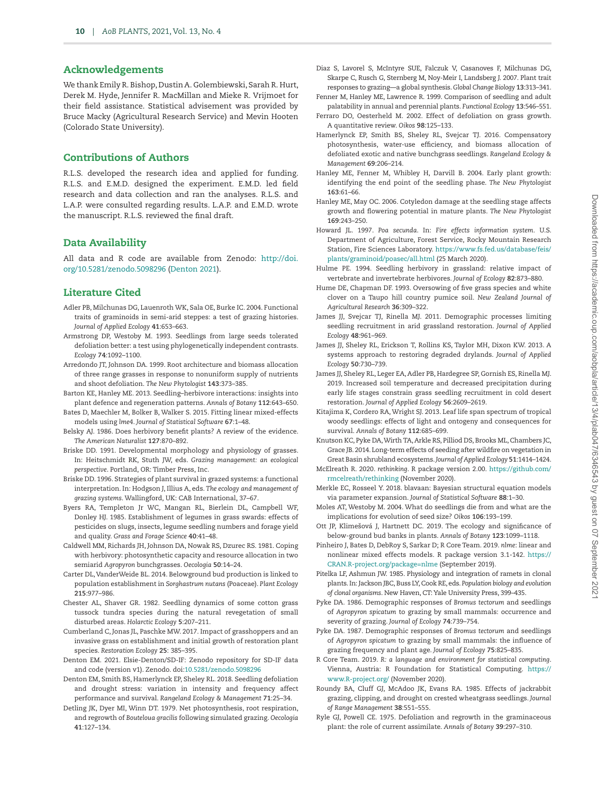## Acknowledgements

We thank Emily R. Bishop, Dustin A. Golembiewski, Sarah R. Hurt, Derek M. Hyde, Jennifer R. MacMillan and Mieke R. Vrijmoet for their field assistance. Statistical advisement was provided by Bruce Macky (Agricultural Research Service) and Mevin Hooten (Colorado State University).

## Contributions of Authors

R.L.S. developed the research idea and applied for funding. R.L.S. and E.M.D. designed the experiment. E.M.D. led field research and data collection and ran the analyses. R.L.S. and L.A.P. were consulted regarding results. L.A.P. and E.M.D. wrote the manuscript. R.L.S. reviewed the final draft.

## Data Availability

All data and R code are available from Zenodo: [http://doi.](http://doi.org/10.5281/zenodo.5098296) [org/10.5281/zenodo.5098296](http://doi.org/10.5281/zenodo.5098296) ([Denton 2021\)](#page-9-23).

#### Literature Cited

- <span id="page-9-0"></span>Adler PB, Milchunas DG, Lauenroth WK, Sala OE, Burke IC. 2004. Functional traits of graminoids in semi-arid steppes: a test of grazing histories. *Journal of Applied Ecology* **41**:653–663.
- <span id="page-9-34"></span>Armstrong DP, Westoby M. 1993. Seedlings from large seeds tolerated defoliation better: a test using phylogenetically independent contrasts. *Ecology* **74**:1092–1100.
- <span id="page-9-28"></span>Arredondo JT, Johnson DA. 1999. Root architecture and biomass allocation of three range grasses in response to nonuniform supply of nutrients and shoot defoliation. *The New Phytologist* **143**:373–385.
- <span id="page-9-3"></span>Barton KE, Hanley ME. 2013. Seedling–herbivore interactions: insights into plant defence and regeneration patterns. *Annals of Botany* **112**:643–650.
- Bates D, Maechler M, Bolker B, Walker S. 2015. Fitting linear mixed-effects models using *lme4*. *Journal of Statistical Software* **67**:1–48.
- Belsky AJ. 1986. Does herbivory benefit plants? A review of the evidence. *The American Naturalist* **127**:870–892.
- <span id="page-9-14"></span>Briske DD. 1991. Developmental morphology and physiology of grasses. In: Heitschmidt RK, Stuth JW, eds. *Grazing management: an ecological perspective*. Portland, OR: Timber Press, Inc.
- <span id="page-9-2"></span>Briske DD. 1996. Strategies of plant survival in grazed systems: a functional interpretation. In: Hodgson J, Illius A, eds. *The ecology and management of grazing systems*. Wallingford, UK: CAB International, 37–67.
- <span id="page-9-37"></span>Byers RA, Templeton Jr WC, Mangan RL, Bierlein DL, Campbell WF, Donley HJ. 1985. Establishment of legumes in grass swards: effects of pesticides on slugs, insects, legume seedling numbers and forage yield and quality. *Grass and Forage Science* **40**:41–48.
- <span id="page-9-29"></span>Caldwell MM, Richards JH, Johnson DA, Nowak RS, Dzurec RS. 1981. Coping with herbivory: photosynthetic capacity and resource allocation in two semiarid *Agropyron* bunchgrasses. *Oecologia* **50**:14–24.
- <span id="page-9-35"></span>Carter DL, VanderWeide BL. 2014. Belowground bud production is linked to population establishment in *Sorghastrum nutans* (Poaceae). *Plant Ecology* **215**:977–986.
- <span id="page-9-31"></span>Chester AL, Shaver GR. 1982. Seedling dynamics of some cotton grass tussock tundra species during the natural revegetation of small disturbed areas. *Holarctic Ecology* **5**:207–211.
- <span id="page-9-18"></span>Cumberland C, Jonas JL, Paschke MW. 2017. Impact of grasshoppers and an invasive grass on establishment and initial growth of restoration plant species. *Restoration Ecology* **25**: 385–395.
- <span id="page-9-23"></span>Denton EM. 2021. Elsie-Denton/SD-IF: Zenodo repository for SD-IF data and code (version v1). Zenodo. doi:[10.5281/zenodo.5098296](https://doi.org/10.5281/zenodo.5098296)
- <span id="page-9-4"></span>Denton EM, Smith BS, Hamerlynck EP, Sheley RL. 2018. Seedling defoliation and drought stress: variation in intensity and frequency affect performance and survival. *Rangeland Ecology & Management* **71**:25–34.
- <span id="page-9-27"></span>Detling JK, Dyer MI, Winn DT. 1979. Net photosynthesis, root respiration, and regrowth of *Bouteloua gracilis* following simulated grazing. *Oecologia* **41**:127–134.
- <span id="page-9-1"></span>Diaz S, Lavorel S, McIntyre SUE, Falczuk V, Casanoves F, Milchunas DG, Skarpe C, Rusch G, Sternberg M, Noy-Meir I, Landsberg J. 2007. Plant trait responses to grazing—a global synthesis. *Global Change Biology* **13**:313–341.
- <span id="page-9-5"></span>Fenner M, Hanley ME, Lawrence R. 1999. Comparison of seedling and adult palatability in annual and perennial plants. *Functional Ecology* **13**:546–551.
- <span id="page-9-15"></span>Ferraro DO, Oesterheld M. 2002. Effect of defoliation on grass growth. A quantitative review. *Oikos* **98**:125–133.
- <span id="page-9-17"></span>Hamerlynck EP, Smith BS, Sheley RL, Svejcar TJ. 2016. Compensatory photosynthesis, water-use efficiency, and biomass allocation of defoliated exotic and native bunchgrass seedlings. *Rangeland Ecology & Management* **69**:206–214.
- <span id="page-9-6"></span>Hanley ME, Fenner M, Whibley H, Darvill B. 2004. Early plant growth: identifying the end point of the seedling phase. *The New Phytologist* **163**:61–66.
- <span id="page-9-16"></span>Hanley ME, May OC. 2006. Cotyledon damage at the seedling stage affects growth and flowering potential in mature plants. *The New Phytologist* **169**:243–250.
- <span id="page-9-33"></span>Howard JL. 1997. *Poa secunda*. In: *Fire effects information system*. U.S. Department of Agriculture, Forest Service, Rocky Mountain Research Station, Fire Sciences Laboratory. [https://www.fs.fed.us/database/feis/](https://www.fs.fed.us/database/feis/plants/graminoid/poasec/all.html) [plants/graminoid/poasec/all.html](https://www.fs.fed.us/database/feis/plants/graminoid/poasec/all.html) (25 March 2020).
- <span id="page-9-10"></span>Hulme PE. 1994. Seedling herbivory in grassland: relative impact of vertebrate and invertebrate herbivores. *Journal of Ecology* **82**:873–880.
- <span id="page-9-32"></span>Hume DE, Chapman DF. 1993. Oversowing of five grass species and white clover on a Taupo hill country pumice soil. *New Zealand Journal of Agricultural Research* **36**:309–322.
- <span id="page-9-19"></span>James JJ, Svejcar TJ, Rinella MJ. 2011. Demographic processes limiting seedling recruitment in arid grassland restoration. *Journal of Applied Ecology* **48**:961–969.
- James JJ, Sheley RL, Erickson T, Rollins KS, Taylor MH, Dixon KW. 2013. A systems approach to restoring degraded drylands. *Journal of Applied Ecology* **50**:730–739.
- <span id="page-9-20"></span>James JJ, Sheley RL, Leger EA, Adler PB, Hardegree SP, Gornish ES, Rinella MJ. 2019. Increased soil temperature and decreased precipitation during early life stages constrain grass seedling recruitment in cold desert restoration. *Journal of Applied Ecology* **56**:2609–2619.
- <span id="page-9-11"></span>Kitajima K, Cordero RA, Wright SJ. 2013. Leaf life span spectrum of tropical woody seedlings: effects of light and ontogeny and consequences for survival. *Annals of Botany* **112**:685–699.
- <span id="page-9-12"></span>Knutson KC, Pyke DA, Wirth TA, Arkle RS, Pilliod DS, Brooks ML, Chambers JC, Grace JB. 2014. Long-term effects of seeding after wildfire on vegetation in Great Basin shrubland ecosystems. *Journal of Applied Ecology* **51**:1414–1424.
- <span id="page-9-22"></span>McElreath R. 2020. *rethinking*. R package version 2.00. [https://github.com/](https://github.com/rmcelreath/rethinking) [rmcelreath/rethinking](https://github.com/rmcelreath/rethinking) (November 2020).
- <span id="page-9-25"></span>Merkle EC, Rosseel Y. 2018. blavaan: Bayesian structural equation models via parameter expansion. *Journal of Statistical Software* **88**:1–30.
- <span id="page-9-7"></span>Moles AT, Westoby M. 2004. What do seedlings die from and what are the implications for evolution of seed size? *Oikos* **106**:193–199.
- <span id="page-9-30"></span>Ott JP, Klimešová J, Hartnett DC. 2019. The ecology and significance of below-ground bud banks in plants. *Annals of Botany* **123**:1099–1118.
- <span id="page-9-24"></span>Pinheiro J, Bates D, DebRoy S, Sarkar D; R Core Team. 2019. *nlme*: linear and nonlinear mixed effects models. R package version 3.1-142. [https://](https://CRAN.R-project.org/package=nlme) [CRAN.R-project.org/package=nlme](https://CRAN.R-project.org/package=nlme) (September 2019).
- <span id="page-9-36"></span>Pitelka LF, Ashmun JW. 1985. Physiology and integration of ramets in clonal plants. In: Jackson JBC, Buss LY, Cook RE, eds. *Population biology and evolution of clonal organisms*. New Haven, CT: Yale University Press, 399–435.
- <span id="page-9-8"></span>Pyke DA. 1986. Demographic responses of *Bromus tectorum* and seedlings of *Agropyron spicatum* to grazing by small mammals: occurrence and severity of grazing. *Journal of Ecology* **74**:739–754.
- <span id="page-9-9"></span>Pyke DA. 1987. Demographic responses of *Bromus tectorum* and seedlings of *Agropyron spicatum* to grazing by small mammals: the influence of grazing frequency and plant age. *Journal of Ecology* **75**:825–835.
- <span id="page-9-21"></span>R Core Team. 2019. *R: a language and environment for statistical computing*. Vienna, Austria: R Foundation for Statistical Computing. [https://](https://www.R-project.org/) [www.R-project.org/](https://www.R-project.org/) (November 2020).
- <span id="page-9-13"></span>Roundy BA, Cluff GJ, McAdoo JK, Evans RA. 1985. Effects of jackrabbit grazing, clipping, and drought on crested wheatgrass seedlings. *Journal of Range Management* **38**:551–555.
- <span id="page-9-26"></span>Ryle GJ, Powell CE. 1975. Defoliation and regrowth in the graminaceous plant: the role of current assimilate. *Annals of Botany* **39**:297–310.